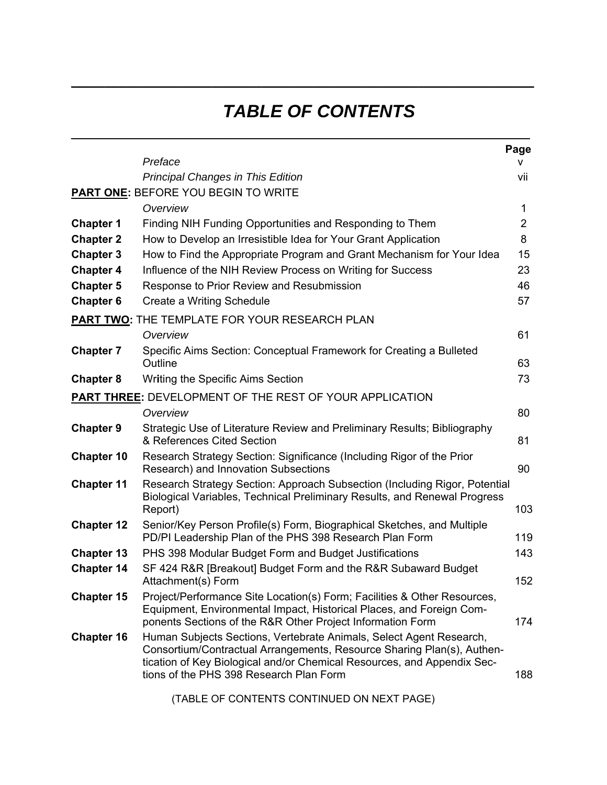## *TABLE OF CONTENTS*

**\_\_\_\_\_\_\_\_\_\_\_\_\_\_\_\_\_\_\_\_\_\_\_\_\_\_\_\_\_\_\_\_\_\_\_\_\_\_\_\_\_\_\_\_\_\_\_\_\_\_\_\_\_\_\_\_** 

 $\mathcal{L}_\text{max}$  and  $\mathcal{L}_\text{max}$  and  $\mathcal{L}_\text{max}$  and  $\mathcal{L}_\text{max}$  and  $\mathcal{L}_\text{max}$  and  $\mathcal{L}_\text{max}$ 

|                                                         | Preface                                                                                                                                                                                                                                                             | Page           |  |
|---------------------------------------------------------|---------------------------------------------------------------------------------------------------------------------------------------------------------------------------------------------------------------------------------------------------------------------|----------------|--|
|                                                         | <b>Principal Changes in This Edition</b>                                                                                                                                                                                                                            | v              |  |
|                                                         | <b>PART ONE: BEFORE YOU BEGIN TO WRITE</b>                                                                                                                                                                                                                          | vii            |  |
|                                                         | Overview                                                                                                                                                                                                                                                            | 1              |  |
| <b>Chapter 1</b>                                        | Finding NIH Funding Opportunities and Responding to Them                                                                                                                                                                                                            | $\overline{2}$ |  |
| <b>Chapter 2</b>                                        |                                                                                                                                                                                                                                                                     | 8              |  |
|                                                         | How to Develop an Irresistible Idea for Your Grant Application                                                                                                                                                                                                      |                |  |
| <b>Chapter 3</b><br><b>Chapter 4</b>                    | How to Find the Appropriate Program and Grant Mechanism for Your Idea<br>Influence of the NIH Review Process on Writing for Success                                                                                                                                 | 15<br>23       |  |
| <b>Chapter 5</b>                                        | Response to Prior Review and Resubmission                                                                                                                                                                                                                           | 46             |  |
| <b>Chapter 6</b>                                        | Create a Writing Schedule                                                                                                                                                                                                                                           | 57             |  |
|                                                         |                                                                                                                                                                                                                                                                     |                |  |
|                                                         | PART TWO: THE TEMPLATE FOR YOUR RESEARCH PLAN                                                                                                                                                                                                                       |                |  |
|                                                         | Overview                                                                                                                                                                                                                                                            | 61             |  |
| <b>Chapter 7</b>                                        | Specific Aims Section: Conceptual Framework for Creating a Bulleted<br>Outline                                                                                                                                                                                      | 63             |  |
| <b>Chapter 8</b>                                        | <b>Writing the Specific Aims Section</b>                                                                                                                                                                                                                            | 73             |  |
| PART THREE: DEVELOPMENT OF THE REST OF YOUR APPLICATION |                                                                                                                                                                                                                                                                     |                |  |
|                                                         | Overview                                                                                                                                                                                                                                                            | 80             |  |
| <b>Chapter 9</b>                                        | Strategic Use of Literature Review and Preliminary Results; Bibliography<br>& References Cited Section                                                                                                                                                              | 81             |  |
| <b>Chapter 10</b>                                       | Research Strategy Section: Significance (Including Rigor of the Prior<br>Research) and Innovation Subsections                                                                                                                                                       | 90             |  |
| <b>Chapter 11</b>                                       | Research Strategy Section: Approach Subsection (Including Rigor, Potential<br>Biological Variables, Technical Preliminary Results, and Renewal Progress<br>Report)                                                                                                  | 103            |  |
| <b>Chapter 12</b>                                       | Senior/Key Person Profile(s) Form, Biographical Sketches, and Multiple<br>PD/PI Leadership Plan of the PHS 398 Research Plan Form                                                                                                                                   | 119            |  |
| <b>Chapter 13</b>                                       | PHS 398 Modular Budget Form and Budget Justifications                                                                                                                                                                                                               | 143            |  |
| <b>Chapter 14</b>                                       | SF 424 R&R [Breakout] Budget Form and the R&R Subaward Budget<br>Attachment(s) Form                                                                                                                                                                                 | 152            |  |
| <b>Chapter 15</b>                                       | Project/Performance Site Location(s) Form; Facilities & Other Resources,<br>Equipment, Environmental Impact, Historical Places, and Foreign Com-<br>ponents Sections of the R&R Other Project Information Form                                                      | 174            |  |
| <b>Chapter 16</b>                                       | Human Subjects Sections, Vertebrate Animals, Select Agent Research,<br>Consortium/Contractual Arrangements, Resource Sharing Plan(s), Authen-<br>tication of Key Biological and/or Chemical Resources, and Appendix Sec-<br>tions of the PHS 398 Research Plan Form | 188            |  |

(TABLE OF CONTENTS CONTINUED ON NEXT PAGE)